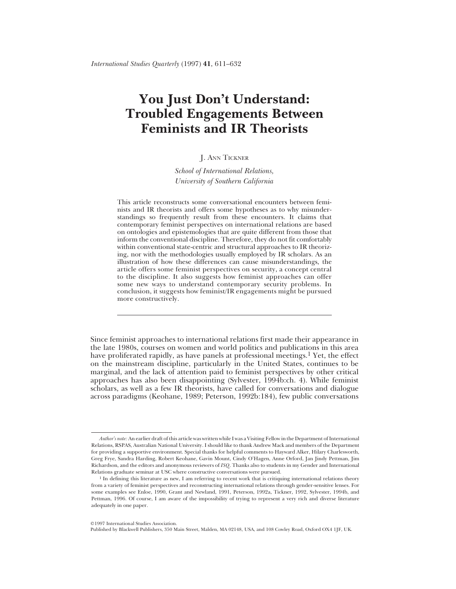# **You Just Don't Understand: Troubled Engagements Between Feminists and IR Theorists**

## J. ANN TICKNER

*School of International Relations, University of Southern California*

This article reconstructs some conversational encounters between feminists and IR theorists and offers some hypotheses as to why misunderstandings so frequently result from these encounters. It claims that contemporary feminist perspectives on international relations are based on ontologies and epistemologies that are quite different from those that inform the conventional discipline. Therefore, they do not fit comfortably within conventional state-centric and structural approaches to IR theorizing, nor with the methodologies usually employed by IR scholars. As an illustration of how these differences can cause misunderstandings, the article offers some feminist perspectives on security, a concept central to the discipline. It also suggests how feminist approaches can offer some new ways to understand contemporary security problems. In conclusion, it suggests how feminist/IR engagements might be pursued more constructively.

Since feminist approaches to international relations first made their appearance in the late 1980s, courses on women and world politics and publications in this area have proliferated rapidly, as have panels at professional meetings.<sup>1</sup> Yet, the effect on the mainstream discipline, particularly in the United States, continues to be marginal, and the lack of attention paid to feminist perspectives by other critical approaches has also been disappointing (Sylvester, 1994b:ch. 4). While feminist scholars, as well as a few IR theorists, have called for conversations and dialogue across paradigms (Keohane, 1989; Peterson, 1992b:184), few public conversations

*Author's note:* An earlier draft of this article was written while I was a Visiting Fellow in the Department of International Relations, RSPAS, Australian National University. I should like to thank Andrew Mack and members of the Department for providing a supportive environment. Special thanks for helpful comments to Hayward Alker, Hilary Charlesworth, Greg Frye, Sandra Harding, Robert Keohane, Gavin Mount, Cindy O'Hagen, Anne Orford, Jan Jindy Pettman, Jim Richardson, and the editors and anonymous reviewers of *ISQ*. Thanks also to students in my Gender and International Relations graduate seminar at USC where constructive conversations were pursued.

 $<sup>1</sup>$  In defining this literature as new, I am referring to recent work that is critiquing international relations theory</sup> from a variety of feminist perspectives and reconstructing international relations through gender-sensitive lenses. For some examples see Enloe, 1990, Grant and Newland, 1991, Peterson, 1992a, Tickner, 1992, Sylvester, 1994b, and Pettman, 1996. Of course, I am aware of the impossibility of trying to represent a very rich and diverse literature adequately in one paper.

<sup>©1997</sup> International Studies Association.

Published by Blackwell Publishers, 350 Main Street, Malden, MA 02148, USA, and 108 Cowley Road, Oxford OX4 1JF, UK.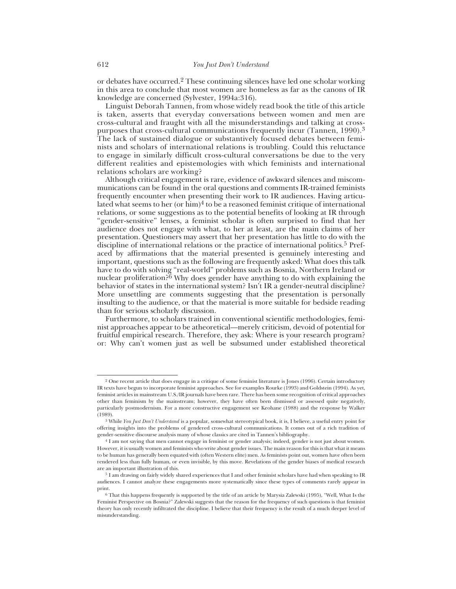or debates have occurred.2 These continuing silences have led one scholar working in this area to conclude that most women are homeless as far as the canons of IR knowledge are concerned (Sylvester, 1994a:316).

Linguist Deborah Tannen, from whose widely read book the title of this article is taken, asserts that everyday conversations between women and men are cross-cultural and fraught with all the misunderstandings and talking at crosspurposes that cross-cultural communications frequently incur (Tannen, 1990).3 The lack of sustained dialogue or substantively focused debates between feminists and scholars of international relations is troubling. Could this reluctance to engage in similarly difficult cross-cultural conversations be due to the very different realities and epistemologies with which feminists and international relations scholars are working?

Although critical engagement is rare, evidence of awkward silences and miscommunications can be found in the oral questions and comments IR-trained feminists frequently encounter when presenting their work to IR audiences. Having articulated what seems to her (or  $\lim_{h \to 0} 4$  to be a reasoned feminist critique of international relations, or some suggestions as to the potential benefits of looking at IR through "gender-sensitive" lenses, a feminist scholar is often surprised to find that her audience does not engage with what, to her at least, are the main claims of her presentation. Questioners may assert that her presentation has little to do with the discipline of international relations or the practice of international politics.5 Prefaced by affirmations that the material presented is genuinely interesting and important, questions such as the following are frequently asked: What does this talk have to do with solving "real-world" problems such as Bosnia, Northern Ireland or nuclear proliferation? $\delta$  Why does gender have anything to do with explaining the behavior of states in the international system? Isn't IR a gender-neutral discipline? More unsettling are comments suggesting that the presentation is personally insulting to the audience, or that the material is more suitable for bedside reading than for serious scholarly discussion.

Furthermore, to scholars trained in conventional scientific methodologies, feminist approaches appear to be atheoretical—merely criticism, devoid of potential for fruitful empirical research. Therefore, they ask: Where is your research program? or: Why can't women just as well be subsumed under established theoretical

<sup>2</sup> One recent article that does engage in a critique of some feminist literature is Jones (1996). Certain introductory IR texts have begun to incorporate feminist approaches. See for examples Rourke (1993) and Goldstein (1994). As yet, feminist articles in mainstream U.S./IR journals have been rare. There has been some recognition of critical approaches other than feminism by the mainstream; however, they have often been dismissed or assessed quite negatively, particularly postmodernism. For a more constructive engagement see Keohane (1988) and the response by Walker (1989).

<sup>3</sup> While *You Just Don't Understand* is a popular, somewhat stereotypical book, it is, I believe, a useful entry point for offering insights into the problems of gendered cross-cultural communications. It comes out of a rich tradition of gender-sensitive discourse analysis many of whose classics are cited in Tannen's bibliography.

<sup>4</sup> I am not saying that men cannot engage in feminist or gender analysis; indeed, gender is not just about women. However, it is usually women and feminists who write about gender issues. The main reason for this is that what it means to be human has generally been equated with (often Western elite) men. As feminists point out, women have often been rendered less than fully human, or even invisible, by this move. Revelations of the gender biases of medical research are an important illustration of this.

<sup>5</sup> I am drawing on fairly widely shared experiences that I and other feminist scholars have had when speaking to IR audiences. I cannot analyze these engagements more systematically since these types of comments rarely appear in print.

<sup>6</sup> That this happens frequently is supported by the title of an article by Marysia Zalewski (1995), "Well, What Is the Feminist Perspective on Bosnia?" Zalewski suggests that the reason for the frequency of such questions is that feminist theory has only recently infiltrated the discipline. I believe that their frequency is the result of a much deeper level of misunderstanding.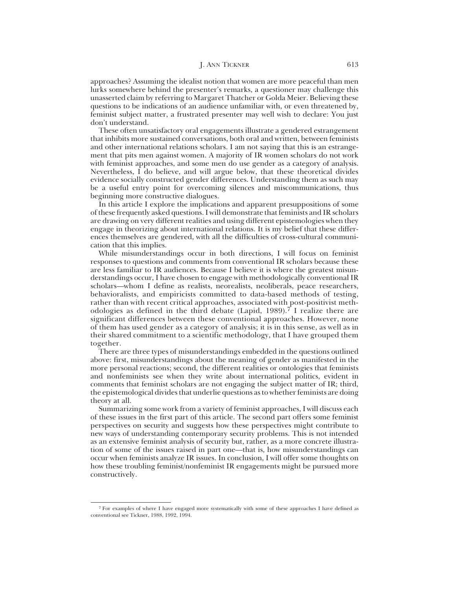approaches? Assuming the idealist notion that women are more peaceful than men lurks somewhere behind the presenter's remarks, a questioner may challenge this unasserted claim by referring to Margaret Thatcher or Golda Meier. Believing these questions to be indications of an audience unfamiliar with, or even threatened by, feminist subject matter, a frustrated presenter may well wish to declare: You just don't understand.

These often unsatisfactory oral engagements illustrate a gendered estrangement that inhibits more sustained conversations, both oral and written, between feminists and other international relations scholars. I am not saying that this is an estrangement that pits men against women. A majority of IR women scholars do not work with feminist approaches, and some men do use gender as a category of analysis. Nevertheless, I do believe, and will argue below, that these theoretical divides evidence socially constructed gender differences. Understanding them as such may be a useful entry point for overcoming silences and miscommunications, thus beginning more constructive dialogues.

In this article I explore the implications and apparent presuppositions of some of these frequently asked questions. I will demonstrate that feminists and IR scholars are drawing on very different realities and using different epistemologies when they engage in theorizing about international relations. It is my belief that these differences themselves are gendered, with all the difficulties of cross-cultural communication that this implies.

While misunderstandings occur in both directions, I will focus on feminist responses to questions and comments from conventional IR scholars because these are less familiar to IR audiences. Because I believe it is where the greatest misunderstandings occur, I have chosen to engage with methodologically conventional IR scholars—whom I define as realists, neorealists, neoliberals, peace researchers, behavioralists, and empiricists committed to data-based methods of testing, rather than with recent critical approaches, associated with post-positivist methodologies as defined in the third debate (Lapid, 1989).7 I realize there are significant differences between these conventional approaches. However, none of them has used gender as a category of analysis; it is in this sense, as well as in their shared commitment to a scientific methodology, that I have grouped them together.

There are three types of misunderstandings embedded in the questions outlined above: first, misunderstandings about the meaning of gender as manifested in the more personal reactions; second, the different realities or ontologies that feminists and nonfeminists see when they write about international politics, evident in comments that feminist scholars are not engaging the subject matter of IR; third, the epistemological divides that underlie questions as to whether feminists are doing theory at all.

Summarizing some work from a variety of feminist approaches, I will discuss each of these issues in the first part of this article. The second part offers some feminist perspectives on security and suggests how these perspectives might contribute to new ways of understanding contemporary security problems. This is not intended as an extensive feminist analysis of security but, rather, as a more concrete illustration of some of the issues raised in part one—that is, how misunderstandings can occur when feminists analyze IR issues. In conclusion, I will offer some thoughts on how these troubling feminist/nonfeminist IR engagements might be pursued more constructively.

<sup>7</sup> For examples of where I have engaged more systematically with some of these approaches I have defined as conventional see Tickner, 1988, 1992, 1994.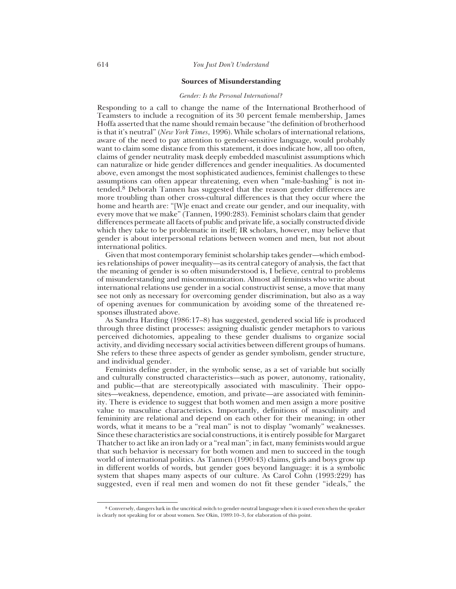#### **Sources of Misunderstanding**

#### *Gender: Is the Personal International?*

Responding to a call to change the name of the International Brotherhood of Teamsters to include a recognition of its 30 percent female membership, James Hoffa asserted that the name should remain because "the definition of brotherhood is that it's neutral" (*New York Times*, 1996). While scholars of international relations, aware of the need to pay attention to gender-sensitive language, would probably want to claim some distance from this statement, it does indicate how, all too often, claims of gender neutrality mask deeply embedded masculinist assumptions which can naturalize or hide gender differences and gender inequalities. As documented above, even amongst the most sophisticated audiences, feminist challenges to these assumptions can often appear threatening, even when "male-bashing" is not intended.8 Deborah Tannen has suggested that the reason gender differences are more troubling than other cross-cultural differences is that they occur where the home and hearth are: "[W]e enact and create our gender, and our inequality, with every move that we make" (Tannen, 1990:283). Feminist scholars claim that gender differences permeate all facets of public and private life, a socially constructed divide which they take to be problematic in itself; IR scholars, however, may believe that gender is about interpersonal relations between women and men, but not about international politics.

Given that most contemporary feminist scholarship takes gender—which embodies relationships of power inequality—as its central category of analysis, the fact that the meaning of gender is so often misunderstood is, I believe, central to problems of misunderstanding and miscommunication. Almost all feminists who write about international relations use gender in a social constructivist sense, a move that many see not only as necessary for overcoming gender discrimination, but also as a way of opening avenues for communication by avoiding some of the threatened responses illustrated above.

As Sandra Harding (1986:17–8) has suggested, gendered social life is produced through three distinct processes: assigning dualistic gender metaphors to various perceived dichotomies, appealing to these gender dualisms to organize social activity, and dividing necessary social activities between different groups of humans. She refers to these three aspects of gender as gender symbolism, gender structure, and individual gender.

Feminists define gender, in the symbolic sense, as a set of variable but socially and culturally constructed characteristics—such as power, autonomy, rationality, and public—that are stereotypically associated with masculinity. Their opposites—weakness, dependence, emotion, and private—are associated with femininity. There is evidence to suggest that both women and men assign a more positive value to masculine characteristics. Importantly, definitions of masculinity and femininity are relational and depend on each other for their meaning; in other words, what it means to be a "real man" is not to display "womanly" weaknesses. Since these characteristics are social constructions, it is entirely possible for Margaret Thatcher to act like an iron lady or a "real man"; in fact, many feminists would argue that such behavior is necessary for both women and men to succeed in the tough world of international politics. As Tannen (1990:43) claims, girls and boys grow up in different worlds of words, but gender goes beyond language: it is a symbolic system that shapes many aspects of our culture. As Carol Cohn (1993:229) has suggested, even if real men and women do not fit these gender "ideals," the

<sup>8</sup> Conversely, dangers lurk in the uncritical switch to gender-neutral language when it is used even when the speaker is clearly not speaking for or about women. See Okin, 1989:10–3, for elaboration of this point.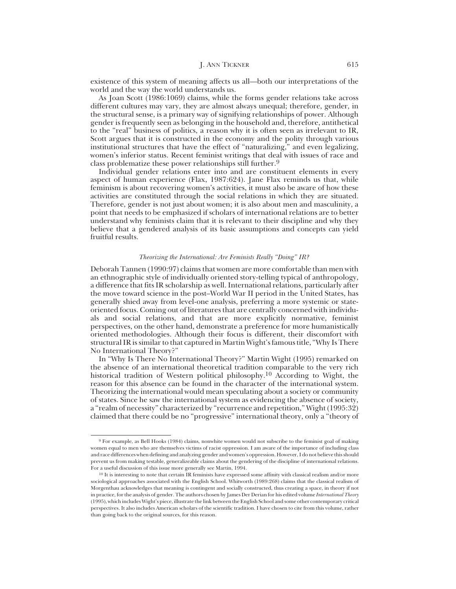existence of this system of meaning affects us all—both our interpretations of the world and the way the world understands us.

As Joan Scott (1986:1069) claims, while the forms gender relations take across different cultures may vary, they are almost always unequal; therefore, gender, in the structural sense, is a primary way of signifying relationships of power. Although gender is frequently seen as belonging in the household and, therefore, antithetical to the "real" business of politics, a reason why it is often seen as irrelevant to IR, Scott argues that it is constructed in the economy and the polity through various institutional structures that have the effect of "naturalizing," and even legalizing, women's inferior status. Recent feminist writings that deal with issues of race and class problematize these power relationships still further.9

Individual gender relations enter into and are constituent elements in every aspect of human experience (Flax, 1987:624). Jane Flax reminds us that, while feminism is about recovering women's activities, it must also be aware of how these activities are constituted through the social relations in which they are situated. Therefore, gender is not just about women; it is also about men and masculinity, a point that needs to be emphasized if scholars of international relations are to better understand why feminists claim that it is relevant to their discipline and why they believe that a gendered analysis of its basic assumptions and concepts can yield fruitful results.

#### *Theorizing the International: Are Feminists Really "Doing" IR?*

Deborah Tannen (1990:97) claims that women are more comfortable than men with an ethnographic style of individually oriented story-telling typical of anthropology, a difference that fits IR scholarship as well. International relations, particularly after the move toward science in the post–World War II period in the United States, has generally shied away from level-one analysis, preferring a more systemic or stateoriented focus. Coming out of literatures that are centrally concerned with individuals and social relations, and that are more explicitly normative, feminist perspectives, on the other hand, demonstrate a preference for more humanistically oriented methodologies. Although their focus is different, their discomfort with structural IR is similar to that captured in Martin Wight's famous title, "Why Is There No International Theory?"

In "Why Is There No International Theory?" Martin Wight (1995) remarked on the absence of an international theoretical tradition comparable to the very rich historical tradition of Western political philosophy.10 According to Wight, the reason for this absence can be found in the character of the international system. Theorizing the international would mean speculating about a society or community of states. Since he saw the international system as evidencing the absence of society, a "realm of necessity" characterized by "recurrence and repetition," Wight (1995:32) claimed that there could be no "progressive" international theory, only a "theory of

<sup>9</sup> For example, as Bell Hooks (1984) claims, nonwhite women would not subscribe to the feminist goal of making women equal to men who are themselves victims of racist oppression. I am aware of the importance of including class and race differences when defining and analyzing gender and women's oppression. However, I do not believe this should prevent us from making testable, generalizeable claims about the gendering of the discipline of international relations. For a useful discussion of this issue more generally see Martin, 1994.

<sup>10</sup> It is interesting to note that certain IR feminists have expressed some affinity with classical realism and/or more sociological approaches associated with the English School. Whitworth (1989:268) claims that the classical realism of Morgenthau acknowledges that meaning is contingent and socially constructed, thus creating a space, in theory if not in practice, for the analysis of gender. The authors chosen by James Der Derian for his edited volume *International Theory* (1995), which includes Wight's piece, illustrate the link between the English School and some other contemporary critical perspectives. It also includes American scholars of the scientific tradition. I have chosen to cite from this volume, rather than going back to the original sources, for this reason.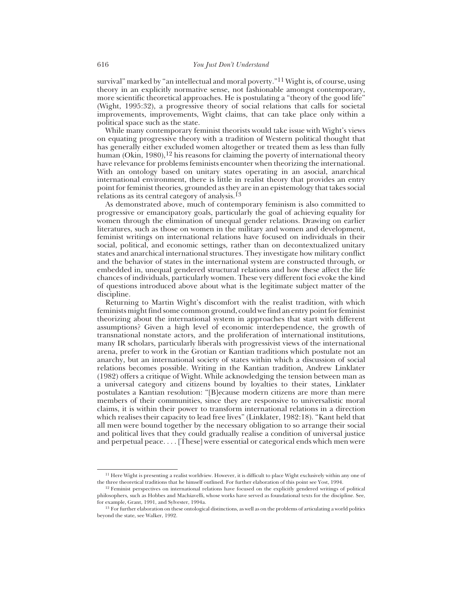survival" marked by "an intellectual and moral poverty."11 Wight is, of course, using theory in an explicitly normative sense, not fashionable amongst contemporary, more scientific theoretical approaches. He is postulating a "theory of the good life" (Wight, 1995:32), a progressive theory of social relations that calls for societal improvements, improvements, Wight claims, that can take place only within a political space such as the state.

While many contemporary feminist theorists would take issue with Wight's views on equating progressive theory with a tradition of Western political thought that has generally either excluded women altogether or treated them as less than fully human (Okin,  $1980$ ),  $12$  his reasons for claiming the poverty of international theory have relevance for problems feminists encounter when theorizing the international. With an ontology based on unitary states operating in an asocial, anarchical international environment, there is little in realist theory that provides an entry point for feminist theories, grounded as they are in an epistemology that takes social relations as its central category of analysis.13

As demonstrated above, much of contemporary feminism is also committed to progressive or emancipatory goals, particularly the goal of achieving equality for women through the elimination of unequal gender relations. Drawing on earlier literatures, such as those on women in the military and women and development, feminist writings on international relations have focused on individuals in their social, political, and economic settings, rather than on decontextualized unitary states and anarchical international structures. They investigate how military conflict and the behavior of states in the international system are constructed through, or embedded in, unequal gendered structural relations and how these affect the life chances of individuals, particularly women. These very different foci evoke the kind of questions introduced above about what is the legitimate subject matter of the discipline.

Returning to Martin Wight's discomfort with the realist tradition, with which feminists might find some common ground, could we find an entry point for feminist theorizing about the international system in approaches that start with different assumptions? Given a high level of economic interdependence, the growth of transnational nonstate actors, and the proliferation of international institutions, many IR scholars, particularly liberals with progressivist views of the international arena, prefer to work in the Grotian or Kantian traditions which postulate not an anarchy, but an international society of states within which a discussion of social relations becomes possible. Writing in the Kantian tradition, Andrew Linklater (1982) offers a critique of Wight. While acknowledging the tension between man as a universal category and citizens bound by loyalties to their states, Linklater postulates a Kantian resolution: "[B]ecause modern citizens are more than mere members of their communities, since they are responsive to universalistic moral claims, it is within their power to transform international relations in a direction which realises their capacity to lead free lives" (Linklater, 1982:18). "Kant held that all men were bound together by the necessary obligation to so arrange their social and political lives that they could gradually realise a condition of universal justice and perpetual peace. . . . [These] were essential or categorical ends which men were

<sup>11</sup> Here Wight is presenting a realist worldview. However, it is difficult to place Wight exclusively within any one of the three theoretical traditions that he himself outlined. For further elaboration of this point see Yost, 1994.

<sup>&</sup>lt;sup>12</sup> Feminist perspectives on international relations have focused on the explicitly gendered writings of political philosophers, such as Hobbes and Machiavelli, whose works have served as foundational texts for the discipline. See, for example, Grant, 1991, and Sylvester, 1994a.

<sup>&</sup>lt;sup>13</sup> For further elaboration on these ontological distinctions, as well as on the problems of articulating a world politics beyond the state, see Walker, 1992.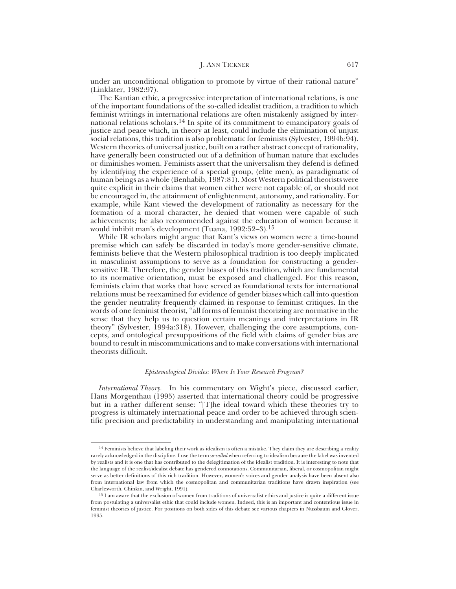under an unconditional obligation to promote by virtue of their rational nature" (Linklater, 1982:97).

The Kantian ethic, a progressive interpretation of international relations, is one of the important foundations of the so-called idealist tradition, a tradition to which feminist writings in international relations are often mistakenly assigned by international relations scholars.14 In spite of its commitment to emancipatory goals of justice and peace which, in theory at least, could include the elimination of unjust social relations, this tradition is also problematic for feminists (Sylvester, 1994b:94). Western theories of universal justice, built on a rather abstract concept of rationality, have generally been constructed out of a definition of human nature that excludes or diminishes women. Feminists assert that the universalism they defend is defined by identifying the experience of a special group, (elite men), as paradigmatic of human beings as a whole (Benhabib, 1987:81). Most Western political theorists were quite explicit in their claims that women either were not capable of, or should not be encouraged in, the attainment of enlightenment, autonomy, and rationality. For example, while Kant viewed the development of rationality as necessary for the formation of a moral character, he denied that women were capable of such achievements; he also recommended against the education of women because it would inhibit man's development (Tuana, 1992:52–3).15

While IR scholars might argue that Kant's views on women were a time-bound premise which can safely be discarded in today's more gender-sensitive climate, feminists believe that the Western philosophical tradition is too deeply implicated in masculinist assumptions to serve as a foundation for constructing a gendersensitive IR. Therefore, the gender biases of this tradition, which are fundamental to its normative orientation, must be exposed and challenged. For this reason, feminists claim that works that have served as foundational texts for international relations must be reexamined for evidence of gender biases which call into question the gender neutrality frequently claimed in response to feminist critiques. In the words of one feminist theorist, "all forms of feminist theorizing are normative in the sense that they help us to question certain meanings and interpretations in IR theory" (Sylvester, 1994a:318). However, challenging the core assumptions, concepts, and ontological presuppositions of the field with claims of gender bias are bound to result in miscommunications and to make conversations with international theorists difficult.

#### *Epistemological Divides: Where Is Your Research Program?*

*International Theory.* In his commentary on Wight's piece, discussed earlier, Hans Morgenthau (1995) asserted that international theory could be progressive but in a rather different sense: "[T]he ideal toward which these theories try to progress is ultimately international peace and order to be achieved through scientific precision and predictability in understanding and manipulating international

<sup>14</sup> Feminists believe that labeling their work as idealism is often a mistake. They claim they are describing a reality rarely acknowledged in the discipline. I use the term *so-called* when referring to idealism because the label was invented by realists and it is one that has contributed to the delegitimation of the idealist tradition. It is interesting to note that the language of the realist/idealist debate has gendered connotations. Communitarian, liberal, or cosmopolitan might serve as better definitions of this rich tradition. However, women's voices and gender analysis have been absent also from international law from which the cosmopolitan and communitarian traditions have drawn inspiration (see Charlesworth, Chinkin, and Wright, 1991).

<sup>15</sup> I am aware that the exclusion of women from traditions of universalist ethics and justice is quite a different issue from postulating a universalist ethic that could include women. Indeed, this is an important and contentious issue in feminist theories of justice. For positions on both sides of this debate see various chapters in Nussbaum and Glover, 1995.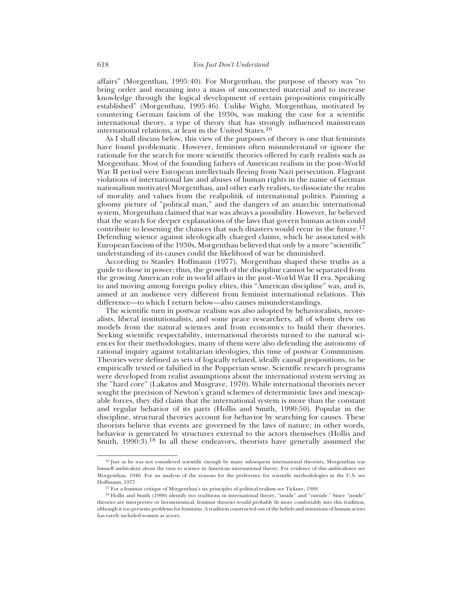affairs" (Morgenthau, 1995:40). For Morgenthau, the purpose of theory was "to bring order and meaning into a mass of unconnected material and to increase knowledge through the logical development of certain propositions empirically established" (Morgenthau, 1995:46). Unlike Wight, Morgenthau, motivated by countering German fascism of the 1930s, was making the case for a scientific international theory, a type of theory that has strongly influenced mainstream international relations, at least in the United States.16

As I shall discuss below, this view of the purposes of theory is one that feminists have found problematic. However, feminists often misunderstand or ignore the rationale for the search for more scientific theories offered by early realists such as Morgenthau. Most of the founding fathers of American realism in the post–World War II period were European intellectuals fleeing from Nazi persecution. Flagrant violations of international law and abuses of human rights in the name of German nationalism motivated Morgenthau, and other early realists, to dissociate the realm of morality and values from the realpolitik of international politics. Painting a gloomy picture of "political man," and the dangers of an anarchic international system, Morgenthau claimed that war was always a possibility. However, he believed that the search for deeper explanations of the laws that govern human action could contribute to lessening the chances that such disasters would recur in the future.17 Defending science against ideologically charged claims, which he associated with European fascism of the 1930s, Morgenthau believed that only by a more "scientific" understanding of its causes could the likelihood of war be diminished.

According to Stanley Hoffmann (1977), Morgenthau shaped these truths as a guide to those in power; thus, the growth of the discipline cannot be separated from the growing American role in world affairs in the post–World War II era. Speaking to and moving among foreign policy elites, this "American discipline" was, and is, aimed at an audience very different from feminist international relations. This difference—to which I return below—also causes misunderstandings.

The scientific turn in postwar realism was also adopted by behavioralists, neorealists, liberal institutionalists, and some peace researchers, all of whom drew on models from the natural sciences and from economics to build their theories. Seeking scientific respectability, international theorists turned to the natural sciences for their methodologies; many of them were also defending the autonomy of rational inquiry against totalitarian ideologies, this time of postwar Communism. Theories were defined as sets of logically related, ideally causal propositions, to be empirically tested or falsified in the Popperian sense. Scientific research programs were developed from realist assumptions about the international system serving as the "hard core" (Lakatos and Musgrave, 1970). While international theorists never sought the precision of Newton's grand schemes of deterministic laws and inescapable forces, they did claim that the international system is more than the constant and regular behavior of its parts (Hollis and Smith, 1990:50). Popular in the discipline, structural theories account for behavior by searching for causes. These theorists believe that events are governed by the laws of nature; in other words, behavior is generated by structures external to the actors themselves (Hollis and Smith, 1990:3).<sup>18</sup> In all these endeavors, theorists have generally assumed the

<sup>16</sup> Just as he was not considered scientific enough by many subsequent international theorists, Morgenthau was himself ambivalent about the turn to science in American international theory. For evidence of this ambivalence see Morgenthau, 1946. For an analysis of the reasons for the preference for scientific methodologies in the U.S. see Hoffmann, 1977.

<sup>&</sup>lt;sup>17</sup> For a feminist critique of Morgenthau's six principles of political realism see Tickner, 1988.

<sup>&</sup>lt;sup>18</sup> Hollis and Smith (1990) identify two traditions in international theory, "inside" and "outside." Since "inside" theories are interpretive or hermeneutical, feminist theories would probably fit more comfortably into this tradition, although it too presents problems for feminists. A tradition constructed out of the beliefs and intentions of human actors has rarely included women as actors.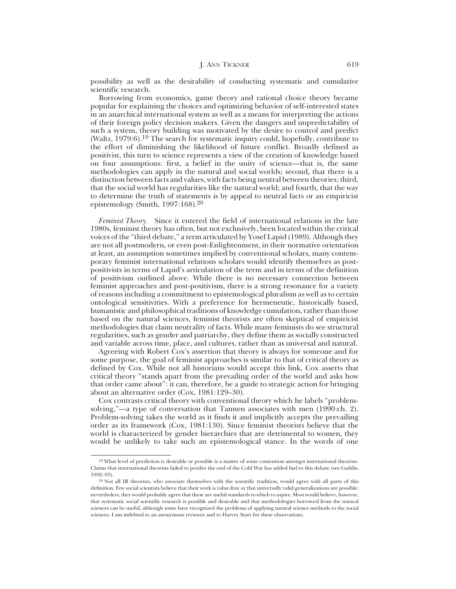possibility as well as the desirability of conducting systematic and cumulative scientific research.

Borrowing from economics, game theory and rational choice theory became popular for explaining the choices and optimizing behavior of self-interested states in an anarchical international system as well as a means for interpreting the actions of their foreign policy decision makers. Given the dangers and unpredictability of such a system, theory building was motivated by the desire to control and predict (Waltz, 1979:6).19 The search for systematic inquiry could, hopefully, contribute to the effort of diminishing the likelihood of future conflict. Broadly defined as positivist, this turn to science represents a view of the creation of knowledge based on four assumptions: first, a belief in the unity of science—that is, the same methodologies can apply in the natural and social worlds; second, that there is a distinction between facts and values, with facts being neutral between theories; third, that the social world has regularities like the natural world; and fourth, that the way to determine the truth of statements is by appeal to neutral facts or an empiricist epistemology (Smith, 1997:168). $20$ 

*Feminist Theory.* Since it entered the field of international relations in the late 1980s, feminist theory has often, but not exclusively, been located within the critical voices of the "third debate," a term articulated by Yosef Lapid (1989). Although they are not all postmodern, or even post-Enlightenment, in their normative orientation at least, an assumption sometimes implied by conventional scholars, many contemporary feminist international relations scholars would identify themselves as postpositivists in terms of Lapid's articulation of the term and in terms of the definition of positivism outlined above. While there is no necessary connection between feminist approaches and post-positivism, there is a strong resonance for a variety of reasons including a commitment to epistemological pluralism as well as to certain ontological sensitivities. With a preference for hermeneutic, historically based, humanistic and philosophical traditions of knowledge cumulation, rather than those based on the natural sciences, feminist theorists are often skeptical of empiricist methodologies that claim neutrality of facts. While many feminists do see structural regularities, such as gender and patriarchy, they define them as socially constructed and variable across time, place, and cultures, rather than as universal and natural.

Agreeing with Robert Cox's assertion that theory is always for someone and for some purpose, the goal of feminist approaches is similar to that of critical theory as defined by Cox. While not all historians would accept this link, Cox asserts that critical theory "stands apart from the prevailing order of the world and asks how that order came about": it can, therefore, be a guide to strategic action for bringing about an alternative order (Cox, 1981:129–30).

Cox contrasts critical theory with conventional theory which he labels "problemsolving,"—a type of conversation that Tannen associates with men (1990:ch. 2). Problem-solving takes the world as it finds it and implicitly accepts the prevailing order as its framework (Cox, 1981:130). Since feminist theorists believe that the world is characterized by gender hierarchies that are detrimental to women, they would be unlikely to take such an epistemological stance. In the words of one

<sup>19</sup> What level of prediction is desirable or possible is a matter of some contention amongst international theorists. Claims that international theorists failed to predict the end of the Cold War has added fuel to this debate (see Gaddis, 1992–93).

<sup>&</sup>lt;sup>20</sup> Not all IR theorists, who associate themselves with the scientific tradition, would agree with all parts of this definition. Few social scientists believe that their work is value-free or that universally valid generalizations are possible; nevertheless, they would probably agree that these are useful standards to which to aspire. Most would believe, however, that systematic social scientific research is possible and desirable and that methodologies borrowed from the natural sciences can be useful, although some have recognized the problems of applying natural science methods to the social sciences. I am indebted to an anonymous reviewer and to Harvey Starr for these observations.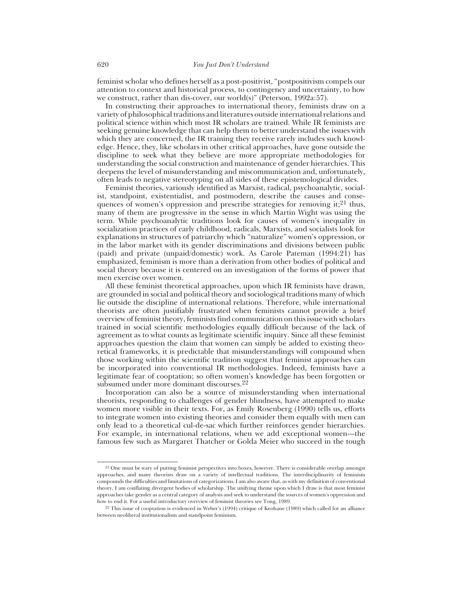feminist scholar who defines herself as a post-positivist, "postpositivism compels our attention to context and historical process, to contingency and uncertainty, to how we construct, rather than dis-cover, our world(s)" (Peterson, 1992a:57).

In constructing their approaches to international theory, feminists draw on a variety of philosophical traditions and literatures outside international relations and political science within which most IR scholars are trained. While IR feminists are seeking genuine knowledge that can help them to better understand the issues with which they are concerned, the IR training they receive rarely includes such knowledge. Hence, they, like scholars in other critical approaches, have gone outside the discipline to seek what they believe are more appropriate methodologies for understanding the social construction and maintenance of gender hierarchies. This deepens the level of misunderstanding and miscommunication and, unfortunately, often leads to negative stereotyping on all sides of these epistemological divides.

Feminist theories, variously identified as Marxist, radical, psychoanalytic, socialist, standpoint, existentialist, and postmodern, describe the causes and consequences of women's oppression and prescribe strategies for removing it;<sup>21</sup> thus, many of them are progressive in the sense in which Martin Wight was using the term. While psychoanalytic traditions look for causes of women's inequality in socialization practices of early childhood, radicals, Marxists, and socialists look for explanations in structures of patriarchy which "naturalize" women's oppression, or in the labor market with its gender discriminations and divisions between public (paid) and private (unpaid/domestic) work. As Carole Pateman (1994:21) has emphasized, feminism is more than a derivation from other bodies of political and social theory because it is centered on an investigation of the forms of power that men exercise over women.

All these feminist theoretical approaches, upon which IR feminists have drawn, are grounded in social and political theory and sociological traditions many of which lie outside the discipline of international relations. Therefore, while international theorists are often justifiably frustrated when feminists cannot provide a brief overview of feminist theory, feminists find communication on this issue with scholars trained in social scientific methodologies equally difficult because of the lack of agreement as to what counts as legitimate scientific inquiry. Since all these feminist approaches question the claim that women can simply be added to existing theoretical frameworks, it is predictable that misunderstandings will compound when those working within the scientific tradition suggest that feminist approaches can be incorporated into conventional IR methodologies. Indeed, feminists have a legitimate fear of cooptation; so often women's knowledge has been forgotten or subsumed under more dominant discourses.22

Incorporation can also be a source of misunderstanding when international theorists, responding to challenges of gender blindness, have attempted to make women more visible in their texts. For, as Emily Rosenberg (1990) tells us, efforts to integrate women into existing theories and consider them equally with men can only lead to a theoretical cul-de-sac which further reinforces gender hierarchies. For example, in international relations, when we add exceptional women—the famous few such as Margaret Thatcher or Golda Meier who succeed in the tough

<sup>&</sup>lt;sup>21</sup> One must be wary of putting feminist perspectives into boxes, however. There is considerable overlap amongst approaches, and many theorists draw on a variety of intellectual traditions. The interdisciplinarity of feminism compounds the difficulties and limitations of categorizations. I am also aware that, as with my definition of conventional theory, I am conflating divergent bodies of scholarship. The unifying theme upon which I draw is that most feminist approaches take gender as a central category of analysis and seek to understand the sources of women's oppression and how to end it. For a useful introductory overview of feminist theories see Tong, 1989.

<sup>22</sup> This issue of cooptation is evidenced in Weber's (1994) critique of Keohane (1989) which called for an alliance between neoliberal institutionalism and standpoint feminism.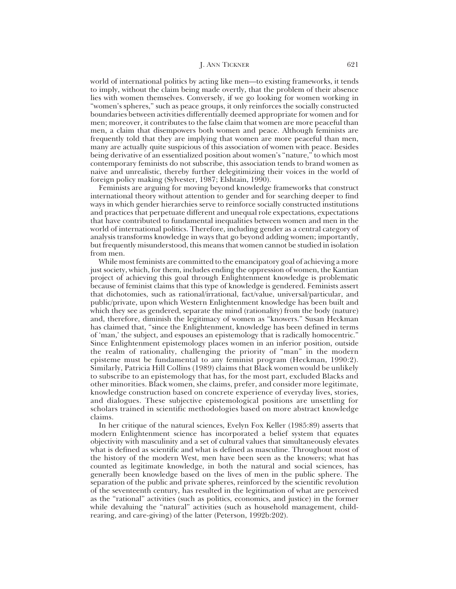## J. ANN TICKNER 621

world of international politics by acting like men—to existing frameworks, it tends to imply, without the claim being made overtly, that the problem of their absence lies with women themselves. Conversely, if we go looking for women working in "women's spheres," such as peace groups, it only reinforces the socially constructed boundaries between activities differentially deemed appropriate for women and for men; moreover, it contributes to the false claim that women are more peaceful than men, a claim that disempowers both women and peace. Although feminists are frequently told that they are implying that women are more peaceful than men, many are actually quite suspicious of this association of women with peace. Besides being derivative of an essentialized position about women's "nature," to which most contemporary feminists do not subscribe, this association tends to brand women as naive and unrealistic, thereby further delegitimizing their voices in the world of foreign policy making (Sylvester, 1987; Elshtain, 1990).

Feminists are arguing for moving beyond knowledge frameworks that construct international theory without attention to gender and for searching deeper to find ways in which gender hierarchies serve to reinforce socially constructed institutions and practices that perpetuate different and unequal role expectations, expectations that have contributed to fundamental inequalities between women and men in the world of international politics. Therefore, including gender as a central category of analysis transforms knowledge in ways that go beyond adding women; importantly, but frequently misunderstood, this means that women cannot be studied in isolation from men.

While most feminists are committed to the emancipatory goal of achieving a more just society, which, for them, includes ending the oppression of women, the Kantian project of achieving this goal through Enlightenment knowledge is problematic because of feminist claims that this type of knowledge is gendered. Feminists assert that dichotomies, such as rational/irrational, fact/value, universal/particular, and public/private, upon which Western Enlightenment knowledge has been built and which they see as gendered, separate the mind (rationality) from the body (nature) and, therefore, diminish the legitimacy of women as "knowers." Susan Heckman has claimed that, "since the Enlightenment, knowledge has been defined in terms of 'man,' the subject, and espouses an epistemology that is radically homocentric." Since Enlightenment epistemology places women in an inferior position, outside the realm of rationality, challenging the priority of "man" in the modern episteme must be fundamental to any feminist program (Heckman, 1990:2). Similarly, Patricia Hill Collins (1989) claims that Black women would be unlikely to subscribe to an epistemology that has, for the most part, excluded Blacks and other minorities. Black women, she claims, prefer, and consider more legitimate, knowledge construction based on concrete experience of everyday lives, stories, and dialogues. These subjective epistemological positions are unsettling for scholars trained in scientific methodologies based on more abstract knowledge claims.

In her critique of the natural sciences, Evelyn Fox Keller (1985:89) asserts that modern Enlightenment science has incorporated a belief system that equates objectivity with masculinity and a set of cultural values that simultaneously elevates what is defined as scientific and what is defined as masculine. Throughout most of the history of the modern West, men have been seen as the knowers; what has counted as legitimate knowledge, in both the natural and social sciences, has generally been knowledge based on the lives of men in the public sphere. The separation of the public and private spheres, reinforced by the scientific revolution of the seventeenth century, has resulted in the legitimation of what are perceived as the "rational" activities (such as politics, economics, and justice) in the former while devaluing the "natural" activities (such as household management, childrearing, and care-giving) of the latter (Peterson, 1992b:202).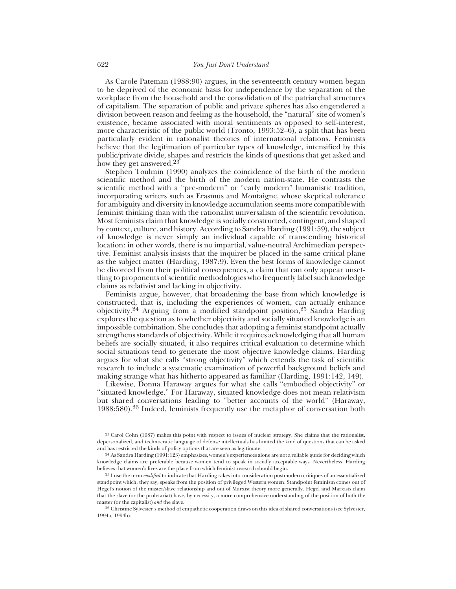As Carole Pateman (1988:90) argues, in the seventeenth century women began to be deprived of the economic basis for independence by the separation of the workplace from the household and the consolidation of the patriarchal structures of capitalism. The separation of public and private spheres has also engendered a division between reason and feeling as the household, the "natural" site of women's existence, became associated with moral sentiments as opposed to self-interest, more characteristic of the public world (Tronto,  $1993:52-\overline{6}$ ), a split that has been particularly evident in rationalist theories of international relations. Feminists believe that the legitimation of particular types of knowledge, intensified by this public/private divide, shapes and restricts the kinds of questions that get asked and how they get answered.<sup>23</sup>

Stephen Toulmin (1990) analyzes the coincidence of the birth of the modern scientific method and the birth of the modern nation-state. He contrasts the scientific method with a "pre-modern" or "early modern" humanistic tradition, incorporating writers such as Erasmus and Montaigne, whose skeptical tolerance for ambiguity and diversity in knowledge accumulation seems more compatible with feminist thinking than with the rationalist universalism of the scientific revolution. Most feminists claim that knowledge is socially constructed, contingent, and shaped by context, culture, and history. According to Sandra Harding (1991:59), the subject of knowledge is never simply an individual capable of transcending historical location: in other words, there is no impartial, value-neutral Archimedian perspective. Feminist analysis insists that the inquirer be placed in the same critical plane as the subject matter (Harding, 1987:9). Even the best forms of knowledge cannot be divorced from their political consequences, a claim that can only appear unsettling to proponents of scientific methodologies who frequently label such knowledge claims as relativist and lacking in objectivity.

Feminists argue, however, that broadening the base from which knowledge is constructed, that is, including the experiences of women, can actually enhance objectivity.<sup>24</sup> Arguing from a modified standpoint position,<sup>25</sup> Sandra Harding explores the question as to whether objectivity and socially situated knowledge is an impossible combination. She concludes that adopting a feminist standpoint actually strengthens standards of objectivity. While it requires acknowledging that all human beliefs are socially situated, it also requires critical evaluation to determine which social situations tend to generate the most objective knowledge claims. Harding argues for what she calls "strong objectivity" which extends the task of scientific research to include a systematic examination of powerful background beliefs and making strange what has hitherto appeared as familiar (Harding, 1991:142, 149).

Likewise, Donna Haraway argues for what she calls "embodied objectivity" or "situated knowledge." For Haraway, situated knowledge does not mean relativism but shared conversations leading to "better accounts of the world" (Haraway, 1988:580).<sup>26</sup> Indeed, feminists frequently use the metaphor of conversation both

<sup>&</sup>lt;sup>23</sup> Carol Cohn (1987) makes this point with respect to issues of nuclear strategy. She claims that the rationalist, depersonalized, and technocratic language of defense intellectuals has limited the kind of questions that can be asked and has restricted the kinds of policy options that are seen as legitimate.

<sup>24</sup> As Sandra Harding (1991:123) emphasizes, women's experiences alone are not a reliable guide for deciding which knowledge claims are preferable because women tend to speak in socially acceptable ways. Nevertheless, Harding believes that women's lives are the place from which feminist research should begin.

<sup>25</sup> I use the term *modified* to indicate that Harding takes into consideration postmodern critiques of an essentialized standpoint which, they say, speaks from the position of privileged Western women. Standpoint feminism comes out of Hegel's notion of the master/slave relationship and out of Marxist theory more generally. Hegel and Marxists claim that the slave (or the proletariat) have, by necessity, a more comprehensive understanding of the position of both the master (or the capitalist) *and* the slave.

<sup>26</sup> Christine Sylvester's method of empathetic cooperation draws on this idea of shared conversations (see Sylvester, 1994a, 1994b).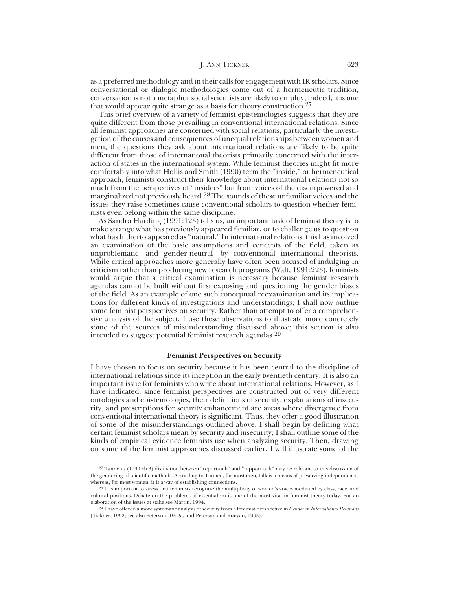## J. ANN TICKNER 623

as a preferred methodology and in their calls for engagement with IR scholars. Since conversational or dialogic methodologies come out of a hermeneutic tradition, conversation is not a metaphor social scientists are likely to employ; indeed, it is one that would appear quite strange as a basis for theory construction.27

This brief overview of a variety of feminist epistemologies suggests that they are quite different from those prevailing in conventional international relations. Since all feminist approaches are concerned with social relations, particularly the investigation of the causes and consequences of unequal relationships between women and men, the questions they ask about international relations are likely to be quite different from those of international theorists primarily concerned with the interaction of states in the international system. While feminist theories might fit more comfortably into what Hollis and Smith (1990) term the "inside," or hermeneutical approach, feminists construct their knowledge about international relations not so much from the perspectives of "insiders" but from voices of the disempowered and marginalized not previously heard.<sup>28</sup> The sounds of these unfamiliar voices and the issues they raise sometimes cause conventional scholars to question whether feminists even belong within the same discipline.

As Sandra Harding (1991:123) tells us, an important task of feminist theory is to make strange what has previously appeared familiar, or to challenge us to question what has hitherto appeared as "natural." In international relations, this has involved an examination of the basic assumptions and concepts of the field, taken as unproblematic—and gender-neutral—by conventional international theorists. While critical approaches more generally have often been accused of indulging in criticism rather than producing new research programs (Walt, 1991:223), feminists would argue that a critical examination is necessary because feminist research agendas cannot be built without first exposing and questioning the gender biases of the field. As an example of one such conceptual reexamination and its implications for different kinds of investigations and understandings, I shall now outline some feminist perspectives on security. Rather than attempt to offer a comprehensive analysis of the subject, I use these observations to illustrate more concretely some of the sources of misunderstanding discussed above; this section is also intended to suggest potential feminist research agendas.29

## **Feminist Perspectives on Security**

I have chosen to focus on security because it has been central to the discipline of international relations since its inception in the early twentieth century. It is also an important issue for feminists who write about international relations. However, as I have indicated, since feminist perspectives are constructed out of very different ontologies and epistemologies, their definitions of security, explanations of insecurity, and prescriptions for security enhancement are areas where divergence from conventional international theory is significant. Thus, they offer a good illustration of some of the misunderstandings outlined above. I shall begin by defining what certain feminist scholars mean by security and insecurity; I shall outline some of the kinds of empirical evidence feminists use when analyzing security. Then, drawing on some of the feminist approaches discussed earlier, I will illustrate some of the

<sup>27</sup> Tannen's (1990:ch.3) distinction between "report-talk" and "rapport talk" may be relevant to this discussion of the gendering of scientific methods. According to Tannen, for most men, talk is a means of preserving independence, whereas, for most women, it is a way of establishing connections.

<sup>28</sup> It is important to stress that feminists recognize the multiplicity of women's voices mediated by class, race, and cultural positions. Debate on the problems of essentialism is one of the most vital in feminist theory today. For an elaboration of the issues at stake see Martin, 1994.

<sup>29</sup> I have offered a more systematic analysis of security from a feminist perspective in *Gender in International Relations* (Tickner, 1992; see also Peterson, 1992a, and Peterson and Runyan, 1993).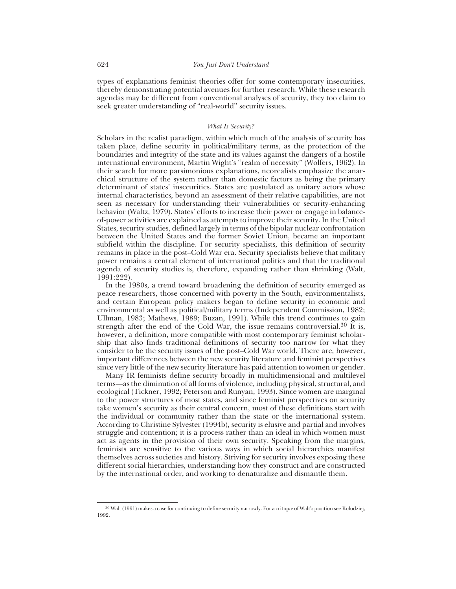types of explanations feminist theories offer for some contemporary insecurities, thereby demonstrating potential avenues for further research. While these research agendas may be different from conventional analyses of security, they too claim to seek greater understanding of "real-world" security issues.

#### *What Is Security?*

Scholars in the realist paradigm, within which much of the analysis of security has taken place, define security in political/military terms, as the protection of the boundaries and integrity of the state and its values against the dangers of a hostile international environment, Martin Wight's "realm of necessity" (Wolfers, 1962). In their search for more parsimonious explanations, neorealists emphasize the anarchical structure of the system rather than domestic factors as being the primary determinant of states' insecurities. States are postulated as unitary actors whose internal characteristics, beyond an assessment of their relative capabilities, are not seen as necessary for understanding their vulnerabilities or security-enhancing behavior (Waltz, 1979). States' efforts to increase their power or engage in balanceof-power activities are explained as attempts to improve their security. In the United States, security studies, defined largely in terms of the bipolar nuclear confrontation between the United States and the former Soviet Union, became an important subfield within the discipline. For security specialists, this definition of security remains in place in the post–Cold War era. Security specialists believe that military power remains a central element of international politics and that the traditional agenda of security studies is, therefore, expanding rather than shrinking (Walt, 1991:222).

In the 1980s, a trend toward broadening the definition of security emerged as peace researchers, those concerned with poverty in the South, environmentalists, and certain European policy makers began to define security in economic and environmental as well as political/military terms (Independent Commission, 1982; Ullman, 1983; Mathews, 1989; Buzan, 1991). While this trend continues to gain strength after the end of the Cold War, the issue remains controversial.<sup>30</sup> It is, however, a definition, more compatible with most contemporary feminist scholarship that also finds traditional definitions of security too narrow for what they consider to be the security issues of the post–Cold War world. There are, however, important differences between the new security literature and feminist perspectives since very little of the new security literature has paid attention to women or gender.

Many IR feminists define security broadly in multidimensional and multilevel terms—as the diminution of all forms of violence, including physical, structural, and ecological (Tickner, 1992; Peterson and Runyan, 1993). Since women are marginal to the power structures of most states, and since feminist perspectives on security take women's security as their central concern, most of these definitions start with the individual or community rather than the state or the international system. According to Christine Sylvester (1994b), security is elusive and partial and involves struggle and contention; it is a process rather than an ideal in which women must act as agents in the provision of their own security. Speaking from the margins, feminists are sensitive to the various ways in which social hierarchies manifest themselves across societies and history. Striving for security involves exposing these different social hierarchies, understanding how they construct and are constructed by the international order, and working to denaturalize and dismantle them.

<sup>30</sup> Walt (1991) makes a case for continuing to define security narrowly. For a critique of Walt's position see Kolodziej, 1992.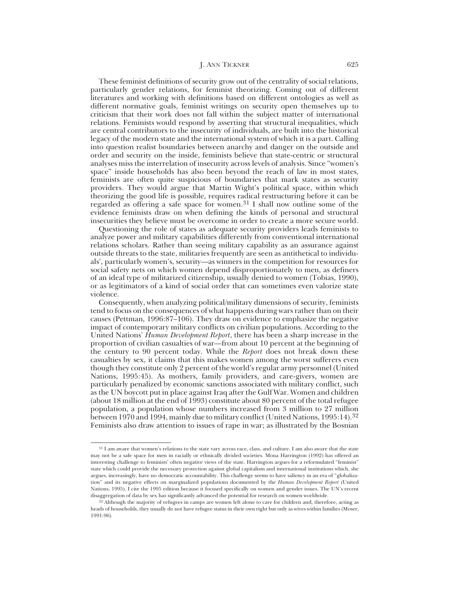These feminist definitions of security grow out of the centrality of social relations, particularly gender relations, for feminist theorizing. Coming out of different literatures and working with definitions based on different ontologies as well as different normative goals, feminist writings on security open themselves up to criticism that their work does not fall within the subject matter of international relations. Feminists would respond by asserting that structural inequalities, which are central contributors to the insecurity of individuals, are built into the historical legacy of the modern state and the international system of which it is a part. Calling into question realist boundaries between anarchy and danger on the outside and order and security on the inside, feminists believe that state-centric or structural analyses miss the interrelation of insecurity across levels of analysis. Since "women's space" inside households has also been beyond the reach of law in most states, feminists are often quite suspicious of boundaries that mark states as security providers. They would argue that Martin Wight's political space, within which theorizing the good life is possible, requires radical restructuring before it can be regarded as offering a safe space for women.<sup>31</sup> I shall now outline some of the evidence feminists draw on when defining the kinds of personal and structural insecurities they believe must be overcome in order to create a more secure world.

Questioning the role of states as adequate security providers leads feminists to analyze power and military capabilities differently from conventional international relations scholars. Rather than seeing military capability as an assurance against outside threats to the state, militaries frequently are seen as antithetical to individuals', particularly women's, security—as winners in the competition for resources for social safety nets on which women depend disproportionately to men, as definers of an ideal type of militarized citizenship, usually denied to women (Tobias, 1990), or as legitimators of a kind of social order that can sometimes even valorize state violence.

Consequently, when analyzing political/military dimensions of security, feminists tend to focus on the consequences of what happens during wars rather than on their causes (Pettman, 1996:87–106). They draw on evidence to emphasize the negative impact of contemporary military conflicts on civilian populations. According to the United Nations' *Human Development Report*, there has been a sharp increase in the proportion of civilian casualties of war—from about 10 percent at the beginning of the century to 90 percent today. While the *Report* does not break down these casualties by sex, it claims that this makes women among the worst sufferers even though they constitute only 2 percent of the world's regular army personnel (United Nations, 1995:45). As mothers, family providers, and care-givers, women are particularly penalized by economic sanctions associated with military conflict, such as the UN boycott put in place against Iraq after the Gulf War. Women and children (about 18 million at the end of 1993) constitute about 80 percent of the total refugee population, a population whose numbers increased from 3 million to 27 million between 1970 and 1994, mainly due to military conflict (United Nations, 1995:14).<sup>32</sup> Feminists also draw attention to issues of rape in war; as illustrated by the Bosnian

<sup>31</sup> I am aware that women's relations to the state vary across race, class, and culture. I am also aware that the state may not be a safe space for men in racially or ethnically divided societies. Mona Harrington (1992) has offered an interesting challenge to feminists' often negative views of the state. Harrington argues for a reformulated "feminist" state which could provide the necessary protection against global capitalism and international institutions which, she argues, increasingly, have no democratic accountability. This challenge seems to have saliency in an era of "globalization" and its negative effects on marginalized populations documented by the *Human Development Report* (United Nations, 1995). I cite the 1995 edition because it focused specifically on women and gender issues. The UN's recent disaggregation of data by sex has significantly advanced the potential for research on women worldwide.

<sup>&</sup>lt;sup>32</sup> Although the majority of refugees in camps are women left alone to care for children and, therefore, acting as heads of households, they usually do not have refugee status in their own right but only as wives within families (Moser, 1991:96).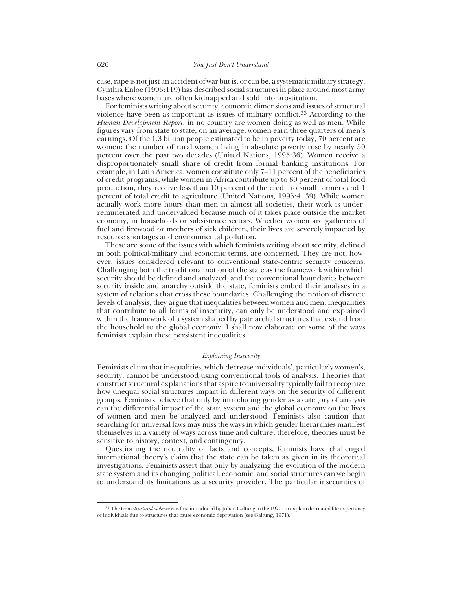case, rape is not just an accident of war but is, or can be, a systematic military strategy. Cynthia Enloe (1993:119) has described social structures in place around most army bases where women are often kidnapped and sold into prostitution.

For feminists writing about security, economic dimensions and issues of structural violence have been as important as issues of military conflict. $33$  According to the *Human Development Report*, in no country are women doing as well as men. While figures vary from state to state, on an average, women earn three quarters of men's earnings. Of the 1.3 billion people estimated to be in poverty today, 70 percent are women: the number of rural women living in absolute poverty rose by nearly 50 percent over the past two decades (United Nations, 1995:36). Women receive a disproportionately small share of credit from formal banking institutions. For example, in Latin America, women constitute only 7–11 percent of the beneficiaries of credit programs; while women in Africa contribute up to 80 percent of total food production, they receive less than 10 percent of the credit to small farmers and 1 percent of total credit to agriculture (United Nations, 1995:4, 39). While women actually work more hours than men in almost all societies, their work is underremunerated and undervalued because much of it takes place outside the market economy, in households or subsistence sectors. Whether women are gatherers of fuel and firewood or mothers of sick children, their lives are severely impacted by resource shortages and environmental pollution.

These are some of the issues with which feminists writing about security, defined in both political/military and economic terms, are concerned. They are not, however, issues considered relevant to conventional state-centric security concerns. Challenging both the traditional notion of the state as the framework within which security should be defined and analyzed, and the conventional boundaries between security inside and anarchy outside the state, feminists embed their analyses in a system of relations that cross these boundaries. Challenging the notion of discrete levels of analysis, they argue that inequalities between women and men, inequalities that contribute to all forms of insecurity, can only be understood and explained within the framework of a system shaped by patriarchal structures that extend from the household to the global economy. I shall now elaborate on some of the ways feminists explain these persistent inequalities.

## *Explaining Insecurity*

Feminists claim that inequalities, which decrease individuals', particularly women's, security, cannot be understood using conventional tools of analysis. Theories that construct structural explanations that aspire to universality typically fail to recognize how unequal social structures impact in different ways on the security of different groups. Feminists believe that only by introducing gender as a category of analysis can the differential impact of the state system and the global economy on the lives of women and men be analyzed and understood. Feminists also caution that searching for universal laws may miss the ways in which gender hierarchies manifest themselves in a variety of ways across time and culture; therefore, theories must be sensitive to history, context, and contingency.

Questioning the neutrality of facts and concepts, feminists have challenged international theory's claim that the state can be taken as given in its theoretical investigations. Feminists assert that only by analyzing the evolution of the modern state system and its changing political, economic, and social structures can we begin to understand its limitations as a security provider. The particular insecurities of

<sup>33</sup> The term *structural violence* was first introduced by Johan Galtung in the 1970s to explain decreased life expectancy of individuals due to structures that cause economic deprivation (see Galtung, 1971).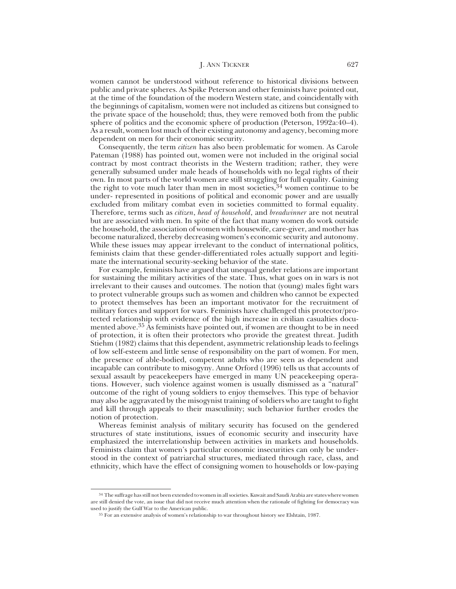women cannot be understood without reference to historical divisions between public and private spheres. As Spike Peterson and other feminists have pointed out, at the time of the foundation of the modern Western state, and coincidentally with the beginnings of capitalism, women were not included as citizens but consigned to the private space of the household; thus, they were removed both from the public sphere of politics and the economic sphere of production (Peterson, 1992a:40–4). As a result, women lost much of their existing autonomy and agency, becoming more dependent on men for their economic security.

Consequently, the term *citizen* has also been problematic for women. As Carole Pateman (1988) has pointed out, women were not included in the original social contract by most contract theorists in the Western tradition; rather, they were generally subsumed under male heads of households with no legal rights of their own. In most parts of the world women are still struggling for full equality. Gaining the right to vote much later than men in most societies,  $34$  women continue to be under- represented in positions of political and economic power and are usually excluded from military combat even in societies committed to formal equality. Therefore, terms such as *citizen*, *head of household*, and *breadwinner* are not neutral but are associated with men. In spite of the fact that many women do work outside the household, the association of women with housewife, care-giver, and mother has become naturalized, thereby decreasing women's economic security and autonomy. While these issues may appear irrelevant to the conduct of international politics, feminists claim that these gender-differentiated roles actually support and legitimate the international security-seeking behavior of the state.

For example, feminists have argued that unequal gender relations are important for sustaining the military activities of the state. Thus, what goes on in wars is not irrelevant to their causes and outcomes. The notion that (young) males fight wars to protect vulnerable groups such as women and children who cannot be expected to protect themselves has been an important motivator for the recruitment of military forces and support for wars. Feminists have challenged this protector/protected relationship with evidence of the high increase in civilian casualties documented above.<sup>35</sup> As feminists have pointed out, if women are thought to be in need of protection, it is often their protectors who provide the greatest threat. Judith Stiehm (1982) claims that this dependent, asymmetric relationship leads to feelings of low self-esteem and little sense of responsibility on the part of women. For men, the presence of able-bodied, competent adults who are seen as dependent and incapable can contribute to misogyny. Anne Orford (1996) tells us that accounts of sexual assault by peacekeepers have emerged in many UN peacekeeping operations. However, such violence against women is usually dismissed as a "natural" outcome of the right of young soldiers to enjoy themselves. This type of behavior may also be aggravated by the misogynist training of soldiers who are taught to fight and kill through appeals to their masculinity; such behavior further erodes the notion of protection.

Whereas feminist analysis of military security has focused on the gendered structures of state institutions, issues of economic security and insecurity have emphasized the interrelationship between activities in markets and households. Feminists claim that women's particular economic insecurities can only be understood in the context of patriarchal structures, mediated through race, class, and ethnicity, which have the effect of consigning women to households or low-paying

<sup>34</sup> The suffrage has still not been extended to women in all societies. Kuwait and Saudi Arabia are states where women are still denied the vote, an issue that did not receive much attention when the rationale of fighting for democracy was used to justify the Gulf War to the American public.

<sup>35</sup> For an extensive analysis of women's relationship to war throughout history see Elshtain, 1987.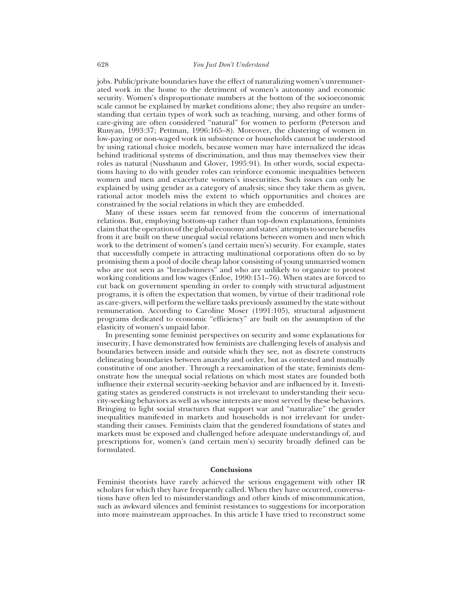jobs. Public/private boundaries have the effect of naturalizing women's unremunerated work in the home to the detriment of women's autonomy and economic security. Women's disproportionate numbers at the bottom of the socioeconomic scale cannot be explained by market conditions alone; they also require an understanding that certain types of work such as teaching, nursing, and other forms of care-giving are often considered "natural" for women to perform (Peterson and Runyan, 1993:37; Pettman, 1996:165–8). Moreover, the clustering of women in low-paying or non-waged work in subsistence or households cannot be understood by using rational choice models, because women may have internalized the ideas behind traditional systems of discrimination, and thus may themselves view their roles as natural (Nussbaum and Glover, 1995:91). In other words, social expectations having to do with gender roles can reinforce economic inequalities between women and men and exacerbate women's insecurities. Such issues can only be explained by using gender as a category of analysis; since they take them as given, rational actor models miss the extent to which opportunities and choices are constrained by the social relations in which they are embedded.

Many of these issues seem far removed from the concerns of international relations. But, employing bottom-up rather than top-down explanations, feminists claim that the operation of the global economy and states' attempts to secure benefits from it are built on these unequal social relations between women and men which work to the detriment of women's (and certain men's) security. For example, states that successfully compete in attracting multinational corporations often do so by promising them a pool of docile cheap labor consisting of young unmarried women who are not seen as "breadwinners" and who are unlikely to organize to protest working conditions and low wages (Enloe, 1990:151–76). When states are forced to cut back on government spending in order to comply with structural adjustment programs, it is often the expectation that women, by virtue of their traditional role as care-givers, will perform the welfare tasks previously assumed by the state without remuneration. According to Caroline Moser (1991:105), structural adjustment programs dedicated to economic "efficiency" are built on the assumption of the elasticity of women's unpaid labor.

In presenting some feminist perspectives on security and some explanations for insecurity, I have demonstrated how feminists are challenging levels of analysis and boundaries between inside and outside which they see, not as discrete constructs delineating boundaries between anarchy and order, but as contested and mutually constitutive of one another. Through a reexamination of the state, feminists demonstrate how the unequal social relations on which most states are founded both influence their external security-seeking behavior and are influenced by it. Investigating states as gendered constructs is not irrelevant to understanding their security-seeking behaviors as well as whose interests are most served by these behaviors. Bringing to light social structures that support war and "naturalize" the gender inequalities manifested in markets and households is not irrelevant for understanding their causes. Feminists claim that the gendered foundations of states and markets must be exposed and challenged before adequate understandings of, and prescriptions for, women's (and certain men's) security broadly defined can be formulated.

## **Conclusions**

Feminist theorists have rarely achieved the serious engagement with other IR scholars for which they have frequently called. When they have occurred, conversations have often led to misunderstandings and other kinds of miscommunication, such as awkward silences and feminist resistances to suggestions for incorporation into more mainstream approaches. In this article I have tried to reconstruct some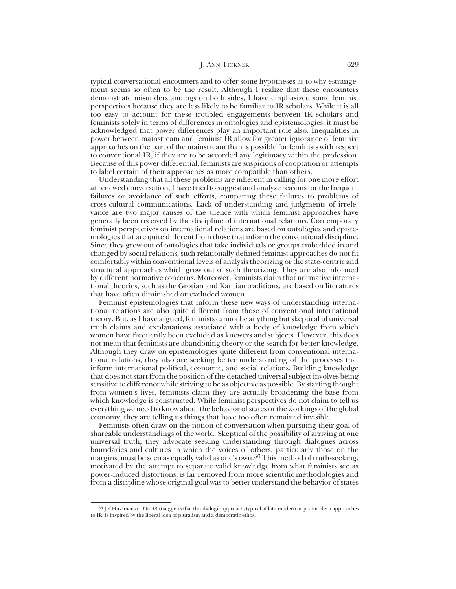typical conversational encounters and to offer some hypotheses as to why estrangement seems so often to be the result. Although I realize that these encounters demonstrate misunderstandings on both sides, I have emphasized some feminist perspectives because they are less likely to be familiar to IR scholars. While it is all too easy to account for these troubled engagements between IR scholars and feminists solely in terms of differences in ontologies and epistemologies, it must be acknowledged that power differences play an important role also. Inequalities in power between mainstream and feminist IR allow for greater ignorance of feminist approaches on the part of the mainstream than is possible for feminists with respect to conventional IR, if they are to be accorded any legitimacy within the profession. Because of this power differential, feminists are suspicious of cooptation or attempts to label certain of their approaches as more compatible than others.

Understanding that all these problems are inherent in calling for one more effort at renewed conversation, I have tried to suggest and analyze reasons for the frequent failures or avoidance of such efforts, comparing these failures to problems of cross-cultural communications. Lack of understanding and judgments of irrelevance are two major causes of the silence with which feminist approaches have generally been received by the discipline of international relations. Contemporary feminist perspectives on international relations are based on ontologies and epistemologies that are quite different from those that inform the conventional discipline. Since they grow out of ontologies that take individuals or groups embedded in and changed by social relations, such relationally defined feminist approaches do not fit comfortably within conventional levels of analysis theorizing or the state-centric and structural approaches which grow out of such theorizing. They are also informed by different normative concerns. Moreover, feminists claim that normative international theories, such as the Grotian and Kantian traditions, are based on literatures that have often diminished or excluded women.

Feminist epistemologies that inform these new ways of understanding international relations are also quite different from those of conventional international theory. But, as I have argued, feminists cannot be anything but skeptical of universal truth claims and explanations associated with a body of knowledge from which women have frequently been excluded as knowers and subjects. However, this does not mean that feminists are abandoning theory or the search for better knowledge. Although they draw on epistemologies quite different from conventional international relations, they also are seeking better understanding of the processes that inform international political, economic, and social relations. Building knowledge that does not start from the position of the detached universal subject involves being sensitive to difference while striving to be as objective as possible. By starting thought from women's lives, feminists claim they are actually broadening the base from which knowledge is constructed. While feminist perspectives do not claim to tell us everything we need to know about the behavior of states or the workings of the global economy, they are telling us things that have too often remained invisible.

Feminists often draw on the notion of conversation when pursuing their goal of shareable understandings of the world. Skeptical of the possibility of arriving at one universal truth, they advocate seeking understanding through dialogues across boundaries and cultures in which the voices of others, particularly those on the margins, must be seen as equally valid as one's own.<sup>36</sup> This method of truth-seeking, motivated by the attempt to separate valid knowledge from what feminists see as power-induced distortions, is far removed from more scientific methodologies and from a discipline whose original goal was to better understand the behavior of states

<sup>&</sup>lt;sup>36</sup> Jef Huysmans (1995:486) suggests that this dialogic approach, typical of late-modern or postmodern approaches to IR, is inspired by the liberal idea of pluralism and a democratic ethos.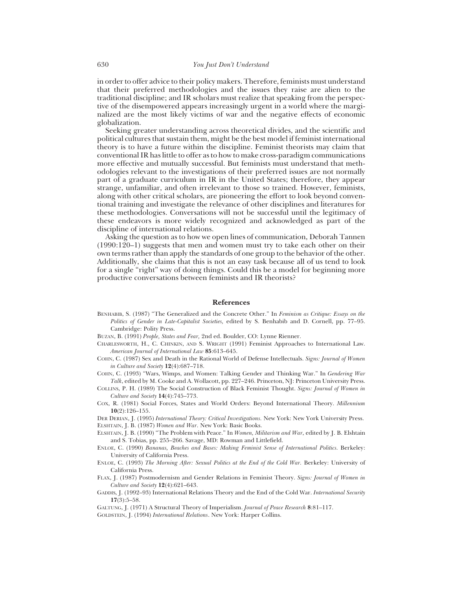in order to offer advice to their policy makers. Therefore, feminists must understand that their preferred methodologies and the issues they raise are alien to the traditional discipline; and IR scholars must realize that speaking from the perspective of the disempowered appears increasingly urgent in a world where the marginalized are the most likely victims of war and the negative effects of economic globalization.

Seeking greater understanding across theoretical divides, and the scientific and political cultures that sustain them, might be the best model if feminist international theory is to have a future within the discipline. Feminist theorists may claim that conventional IR has little to offer as to how to make cross-paradigm communications more effective and mutually successful. But feminists must understand that methodologies relevant to the investigations of their preferred issues are not normally part of a graduate curriculum in IR in the United States; therefore, they appear strange, unfamiliar, and often irrelevant to those so trained. However, feminists, along with other critical scholars, are pioneering the effort to look beyond conventional training and investigate the relevance of other disciplines and literatures for these methodologies. Conversations will not be successful until the legitimacy of these endeavors is more widely recognized and acknowledged as part of the discipline of international relations.

Asking the question as to how we open lines of communication, Deborah Tannen (1990:120–1) suggests that men and women must try to take each other on their own terms rather than apply the standards of one group to the behavior of the other. Additionally, she claims that this is not an easy task because all of us tend to look for a single "right" way of doing things. Could this be a model for beginning more productive conversations between feminists and IR theorists?

#### **References**

- BENHABIB, S. (1987) "The Generalized and the Concrete Other." In *Feminism as Critique: Essays on the Politics of Gender in Late-Capitalist Societies,* edited by S. Benhabib and D. Cornell, pp. 77–95. Cambridge: Polity Press.
- BUZAN, B. (1991) *People, States and Fear,* 2nd ed. Boulder, CO: Lynne Rienner.
- CHARLESWORTH, H., C. CHINKIN, AND S. WRIGHT (1991) Feminist Approaches to International Law. *American Journal of International Law* **85**:613–645.
- COHN, C. (1987) Sex and Death in the Rational World of Defense Intellectuals. *Signs: Journal of Women in Culture and Society* **12**(4):687–718.
- COHN, C. (1993) "Wars, Wimps, and Women: Talking Gender and Thinking War." In *Gendering War Talk*, edited by M. Cooke and A. Wollacott, pp. 227–246. Princeton, NJ: Princeton University Press.
- COLLINS, P. H. (1989) The Social Construction of Black Feminist Thought. *Signs: Journal of Women in Culture and Society* **14**(4):745–773.
- COX, R. (1981) Social Forces, States and World Orders: Beyond International Theory. *Millennium* **10**(2):126–155.
- DER DERIAN, J. (1995) *International Theory: Critical Investigations.* New York: New York University Press.

ELSHTAIN, J. B. (1987) *Women and War*. New York: Basic Books.

- ELSHTAIN, J. B. (1990) "The Problem with Peace." In *Women, Militarism and War*, edited by J. B. Elshtain and S. Tobias, pp. 255–266. Savage, MD: Rowman and Littlefield.
- ENLOE, C. (1990) *Bananas, Beaches and Bases: Making Feminist Sense of International Politics.* Berkeley: University of California Press.
- ENLOE, C. (1993) *The Morning After: Sexual Politics at the End of the Cold War.* Berkeley: University of California Press.
- FLAX, J. (1987) Postmodernism and Gender Relations in Feminist Theory. *Signs: Journal of Women in Culture and Society* **12**(4):621–643.
- GADDIS, J. (1992–93) International Relations Theory and the End of the Cold War. *International Security* **17**(3):5–58.
- GALTUNG, J. (1971) A Structural Theory of Imperialism. *Journal of Peace Research* **8**:81–117.
- GOLDSTEIN, J. (1994) *International Relations*. New York: Harper Collins.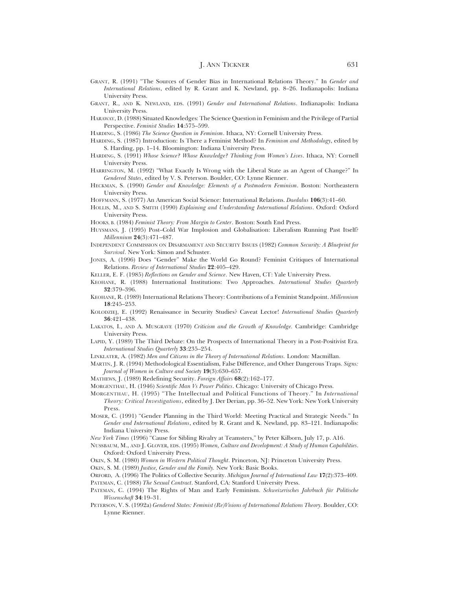- GRANT, R. (1991) "The Sources of Gender Bias in International Relations Theory." In *Gender and International Relations*, edited by R. Grant and K. Newland, pp. 8–26. Indianapolis: Indiana University Press.
- GRANT, R., AND K. NEWLAND, EDS. (1991) *Gender and International Relations*. Indianapolis: Indiana University Press.
- HARAWAY, D. (1988) Situated Knowledges: The Science Question in Feminism and the Privilege of Partial Perspective. *Feminist Studies* **14**:575–599.
- HARDING, S. (1986) *The Science Question in Feminism*. Ithaca, NY: Cornell University Press.
- HARDING, S. (1987) Introduction: Is There a Feminist Method? In *Feminism and Methodology*, edited by S. Harding, pp. 1–14. Bloomington: Indiana University Press.
- HARDING, S. (1991) *Whose Science? Whose Knowledge? Thinking from Women's Lives*. Ithaca, NY: Cornell University Press.
- HARRINGTON, M. (1992) "What Exactly Is Wrong with the Liberal State as an Agent of Change?" In *Gendered States*, edited by V. S. Peterson. Boulder, CO: Lynne Rienner.
- HECKMAN, S. (1990) *Gender and Knowledge: Elements of a Postmodern Feminism*. Boston: Northeastern University Press.
- HOFFMANN, S. (1977) An American Social Science: International Relations. *Daedalus* **106**(3):41–60.
- HOLLIS, M., AND S. SMITH (1990) *Explaining and Understanding International Relations*. Oxford: Oxford University Press.
- HOOKS, B. (1984) *Feminist Theory: From Margin to Center*. Boston: South End Press.
- HUYSMANS, J. (1995) Post–Cold War Implosion and Globalisation: Liberalism Running Past Itself? *Millennium* **24**(3):471–487.
- INDEPENDENT COMMISSION ON DISARMAMENT AND SECURITY ISSUES (1982) *Common Security: A Blueprint for Survival*. New York: Simon and Schuster.
- JONES, A. (1996) Does "Gender" Make the World Go Round? Feminist Critiques of International Relations. *Review of International Studies* **22**:405–429.
- KELLER, E. F. (1985) *Reflections on Gender and Science*. New Haven, CT: Yale University Press.
- KEOHANE, R. (1988) International Institutions: Two Approaches. *International Studies Quarterly* **32**:379–396.
- KEOHANE, R. (1989) International Relations Theory: Contributions of a Feminist Standpoint. *Millennium* **18**:245–253.
- KOLODZIEJ, E. (1992) Renaissance in Security Studies? Caveat Lector! *International Studies Quarterly* **36**:421–438.
- LAKATOS, I., AND A. MUSGRAVE (1970) *Criticism and the Growth of Knowledge.* Cambridge: Cambridge University Press.
- LAPID, Y. (1989) The Third Debate: On the Prospects of International Theory in a Post-Positivist Era. *International Studies Quarterly* **33**:235–254.
- LINKLATER, A. (1982) *Men and Citizens in the Theory of International Relations.* London: Macmillan.
- MARTIN, J. R. (1994) Methodological Essentialism, False Difference, and Other Dangerous Traps. *Signs: Journal of Women in Culture and Society* **19**(3):630–657.
- MATHEWS, J. (1989) Redefining Security. *Foreign Affairs* **68**(2):162–177.
- MORGENTHAU, H. (1946) *Scientific Man Vs Power Politics*. Chicago: University of Chicago Press.
- MORGENTHAU, H. (1995) "The Intellectual and Political Functions of Theory." In *International Theory: Critical Investigations*, edited by J. Der Derian, pp. 36–52. New York: New York University Press.
- MOSER, C. (1991) "Gender Planning in the Third World: Meeting Practical and Strategic Needs." In *Gender and International Relations*, edited by R. Grant and K. Newland, pp. 83–121. Indianapolis: Indiana University Press.
- *New York Times* (1996) "Cause for Sibling Rivalry at Teamsters," by Peter Kilborn, July 17, p. A16.
- NUSSBAUM, M., AND J. GLOVER, EDS. (1995) *Women, Culture and Development: A Study of Human Capabilities*. Oxford: Oxford University Press.
- OKIN, S. M. (1980) *Women in Western Political Thought*. Princeton, NJ: Princeton University Press.
- OKIN, S. M. (1989) *Justice, Gender and the Family.* New York: Basic Books.
- ORFORD, A. (1996) The Politics of Collective Security. *Michigan Journal of International Law* **17**(2):373–409. PATEMAN, C. (1988) *The Sexual Contract*. Stanford, CA: Stanford University Press.
- PATEMAN, C. (1994) The Rights of Man and Early Feminism. *Schweizerisches Jahrbuch für Politische Wissenschaft* **34**:19–31.
- PETERSON, V. S. (1992a) *Gendered States: Feminist (Re)Visions of International Relations Theory.* Boulder, CO: Lynne Rienner.